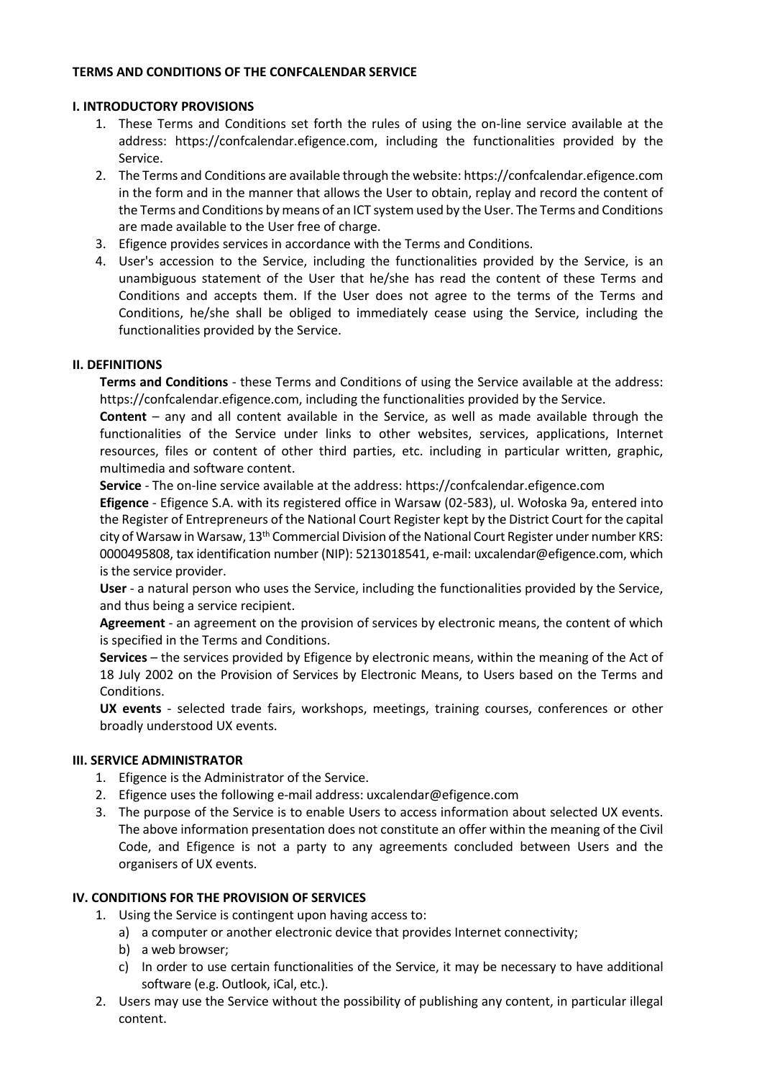## **TERMS AND CONDITIONS OF THE CONFCALENDAR SERVICE**

### **I. INTRODUCTORY PROVISIONS**

- 1. These Terms and Conditions set forth the rules of using the on-line service available at the address: https://confcalendar.efigence.com, including the functionalities provided by the Service.
- 2. The Terms and Conditions are available through the website: https://confcalendar.efigence.com in the form and in the manner that allows the User to obtain, replay and record the content of the Terms and Conditions by means of an ICT system used by the User. The Terms and Conditions are made available to the User free of charge.
- 3. Efigence provides services in accordance with the Terms and Conditions.
- 4. User's accession to the Service, including the functionalities provided by the Service, is an unambiguous statement of the User that he/she has read the content of these Terms and Conditions and accepts them. If the User does not agree to the terms of the Terms and Conditions, he/she shall be obliged to immediately cease using the Service, including the functionalities provided by the Service.

## **II. DEFINITIONS**

**Terms and Conditions** - these Terms and Conditions of using the Service available at the address: https://confcalendar.efigence.com, including the functionalities provided by the Service.

**Content** – any and all content available in the Service, as well as made available through the functionalities of the Service under links to other websites, services, applications, Internet resources, files or content of other third parties, etc. including in particular written, graphic, multimedia and software content.

**Service** - The on-line service available at the address: https://confcalendar.efigence.com

**Efigence** - Efigence S.A. with its registered office in Warsaw (02-583), ul. Wołoska 9a, entered into the Register of Entrepreneurs of the National Court Register kept by the District Court for the capital city of Warsaw in Warsaw, 13th Commercial Division of the National Court Register under number KRS: 0000495808, tax identification number (NIP): 5213018541, e-mail: uxcalendar@efigence.com, which is the service provider.

**User** - a natural person who uses the Service, including the functionalities provided by the Service, and thus being a service recipient.

**Agreement** - an agreement on the provision of services by electronic means, the content of which is specified in the Terms and Conditions.

**Services** – the services provided by Efigence by electronic means, within the meaning of the Act of 18 July 2002 on the Provision of Services by Electronic Means, to Users based on the Terms and Conditions.

**UX events** - selected trade fairs, workshops, meetings, training courses, conferences or other broadly understood UX events.

### **III. SERVICE ADMINISTRATOR**

- 1. Efigence is the Administrator of the Service.
- 2. Efigence uses the following e-mail address: uxcalendar@efigence.com
- 3. The purpose of the Service is to enable Users to access information about selected UX events. The above information presentation does not constitute an offer within the meaning of the Civil Code, and Efigence is not a party to any agreements concluded between Users and the organisers of UX events.

### **IV. CONDITIONS FOR THE PROVISION OF SERVICES**

- 1. Using the Service is contingent upon having access to:
	- a) a computer or another electronic device that provides Internet connectivity;
	- b) a web browser;
	- c) In order to use certain functionalities of the Service, it may be necessary to have additional software (e.g. Outlook, iCal, etc.).
- 2. Users may use the Service without the possibility of publishing any content, in particular illegal content.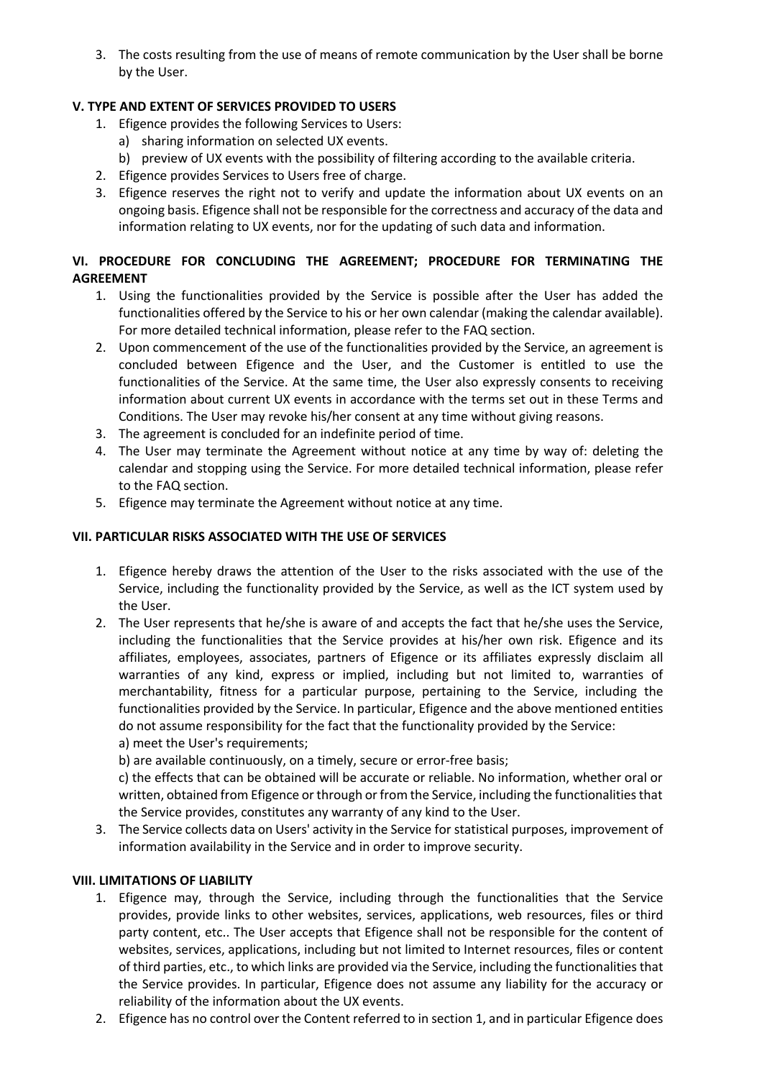3. The costs resulting from the use of means of remote communication by the User shall be borne by the User.

# **V. TYPE AND EXTENT OF SERVICES PROVIDED TO USERS**

- 1. Efigence provides the following Services to Users:
	- a) sharing information on selected UX events.
	- b) preview of UX events with the possibility of filtering according to the available criteria.
- 2. Efigence provides Services to Users free of charge.
- 3. Efigence reserves the right not to verify and update the information about UX events on an ongoing basis. Efigence shall not be responsible for the correctness and accuracy of the data and information relating to UX events, nor for the updating of such data and information.

# **VI. PROCEDURE FOR CONCLUDING THE AGREEMENT; PROCEDURE FOR TERMINATING THE AGREEMENT**

- 1. Using the functionalities provided by the Service is possible after the User has added the functionalities offered by the Service to his or her own calendar (making the calendar available). For more detailed technical information, please refer to the FAQ section.
- 2. Upon commencement of the use of the functionalities provided by the Service, an agreement is concluded between Efigence and the User, and the Customer is entitled to use the functionalities of the Service. At the same time, the User also expressly consents to receiving information about current UX events in accordance with the terms set out in these Terms and Conditions. The User may revoke his/her consent at any time without giving reasons.
- 3. The agreement is concluded for an indefinite period of time.
- 4. The User may terminate the Agreement without notice at any time by way of: deleting the calendar and stopping using the Service. For more detailed technical information, please refer to the FAQ section.
- 5. Efigence may terminate the Agreement without notice at any time.

# **VII. PARTICULAR RISKS ASSOCIATED WITH THE USE OF SERVICES**

- 1. Efigence hereby draws the attention of the User to the risks associated with the use of the Service, including the functionality provided by the Service, as well as the ICT system used by the User.
- 2. The User represents that he/she is aware of and accepts the fact that he/she uses the Service, including the functionalities that the Service provides at his/her own risk. Efigence and its affiliates, employees, associates, partners of Efigence or its affiliates expressly disclaim all warranties of any kind, express or implied, including but not limited to, warranties of merchantability, fitness for a particular purpose, pertaining to the Service, including the functionalities provided by the Service. In particular, Efigence and the above mentioned entities do not assume responsibility for the fact that the functionality provided by the Service: a) meet the User's requirements;

b) are available continuously, on a timely, secure or error-free basis;

c) the effects that can be obtained will be accurate or reliable. No information, whether oral or written, obtained from Efigence or through or from the Service, including the functionalitiesthat the Service provides, constitutes any warranty of any kind to the User.

3. The Service collects data on Users' activity in the Service for statistical purposes, improvement of information availability in the Service and in order to improve security.

# **VIII. LIMITATIONS OF LIABILITY**

- 1. Efigence may, through the Service, including through the functionalities that the Service provides, provide links to other websites, services, applications, web resources, files or third party content, etc.. The User accepts that Efigence shall not be responsible for the content of websites, services, applications, including but not limited to Internet resources, files or content of third parties, etc., to which links are provided via the Service, including the functionalitiesthat the Service provides. In particular, Efigence does not assume any liability for the accuracy or reliability of the information about the UX events.
- 2. Efigence has no control over the Content referred to in section 1, and in particular Efigence does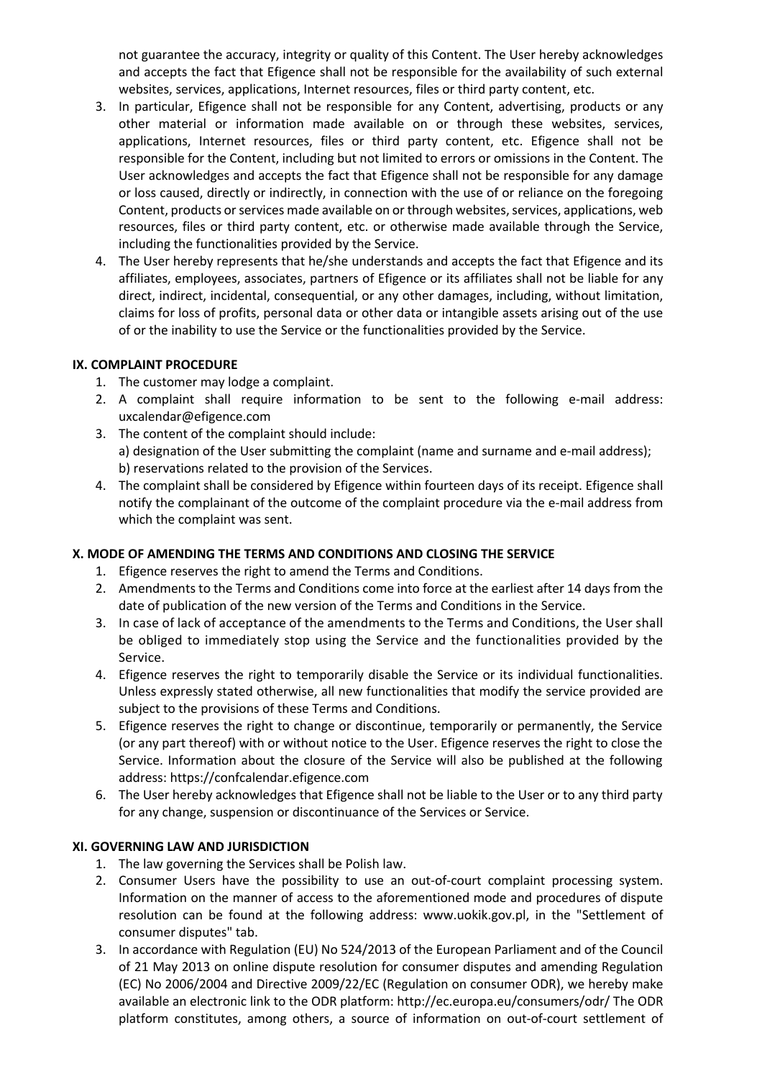not guarantee the accuracy, integrity or quality of this Content. The User hereby acknowledges and accepts the fact that Efigence shall not be responsible for the availability of such external websites, services, applications, Internet resources, files or third party content, etc.

- 3. In particular, Efigence shall not be responsible for any Content, advertising, products or any other material or information made available on or through these websites, services, applications, Internet resources, files or third party content, etc. Efigence shall not be responsible for the Content, including but not limited to errors or omissions in the Content. The User acknowledges and accepts the fact that Efigence shall not be responsible for any damage or loss caused, directly or indirectly, in connection with the use of or reliance on the foregoing Content, products or services made available on or through websites, services, applications, web resources, files or third party content, etc. or otherwise made available through the Service, including the functionalities provided by the Service.
- 4. The User hereby represents that he/she understands and accepts the fact that Efigence and its affiliates, employees, associates, partners of Efigence or its affiliates shall not be liable for any direct, indirect, incidental, consequential, or any other damages, including, without limitation, claims for loss of profits, personal data or other data or intangible assets arising out of the use of or the inability to use the Service or the functionalities provided by the Service.

# **IX. COMPLAINT PROCEDURE**

- 1. The customer may lodge a complaint.
- 2. A complaint shall require information to be sent to the following e-mail address: uxcalendar@efigence.com
- 3. The content of the complaint should include: a) designation of the User submitting the complaint (name and surname and e-mail address); b) reservations related to the provision of the Services.
- 4. The complaint shall be considered by Efigence within fourteen days of its receipt. Efigence shall notify the complainant of the outcome of the complaint procedure via the e-mail address from which the complaint was sent.

# **X. MODE OF AMENDING THE TERMS AND CONDITIONS AND CLOSING THE SERVICE**

- 1. Efigence reserves the right to amend the Terms and Conditions.
- 2. Amendments to the Terms and Conditions come into force at the earliest after 14 days from the date of publication of the new version of the Terms and Conditions in the Service.
- 3. In case of lack of acceptance of the amendments to the Terms and Conditions, the User shall be obliged to immediately stop using the Service and the functionalities provided by the Service.
- 4. Efigence reserves the right to temporarily disable the Service or its individual functionalities. Unless expressly stated otherwise, all new functionalities that modify the service provided are subject to the provisions of these Terms and Conditions.
- 5. Efigence reserves the right to change or discontinue, temporarily or permanently, the Service (or any part thereof) with or without notice to the User. Efigence reserves the right to close the Service. Information about the closure of the Service will also be published at the following address: https://confcalendar.efigence.com
- 6. The User hereby acknowledges that Efigence shall not be liable to the User or to any third party for any change, suspension or discontinuance of the Services or Service.

# **XI. GOVERNING LAW AND JURISDICTION**

- 1. The law governing the Services shall be Polish law.
- 2. Consumer Users have the possibility to use an out-of-court complaint processing system. Information on the manner of access to the aforementioned mode and procedures of dispute resolution can be found at the following address: www.uokik.gov.pl, in the "Settlement of consumer disputes" tab.
- 3. In accordance with Regulation (EU) No 524/2013 of the European Parliament and of the Council of 21 May 2013 on online dispute resolution for consumer disputes and amending Regulation (EC) No 2006/2004 and Directive 2009/22/EC (Regulation on consumer ODR), we hereby make available an electronic link to the ODR platform: http://ec.europa.eu/consumers/odr/ The ODR platform constitutes, among others, a source of information on out-of-court settlement of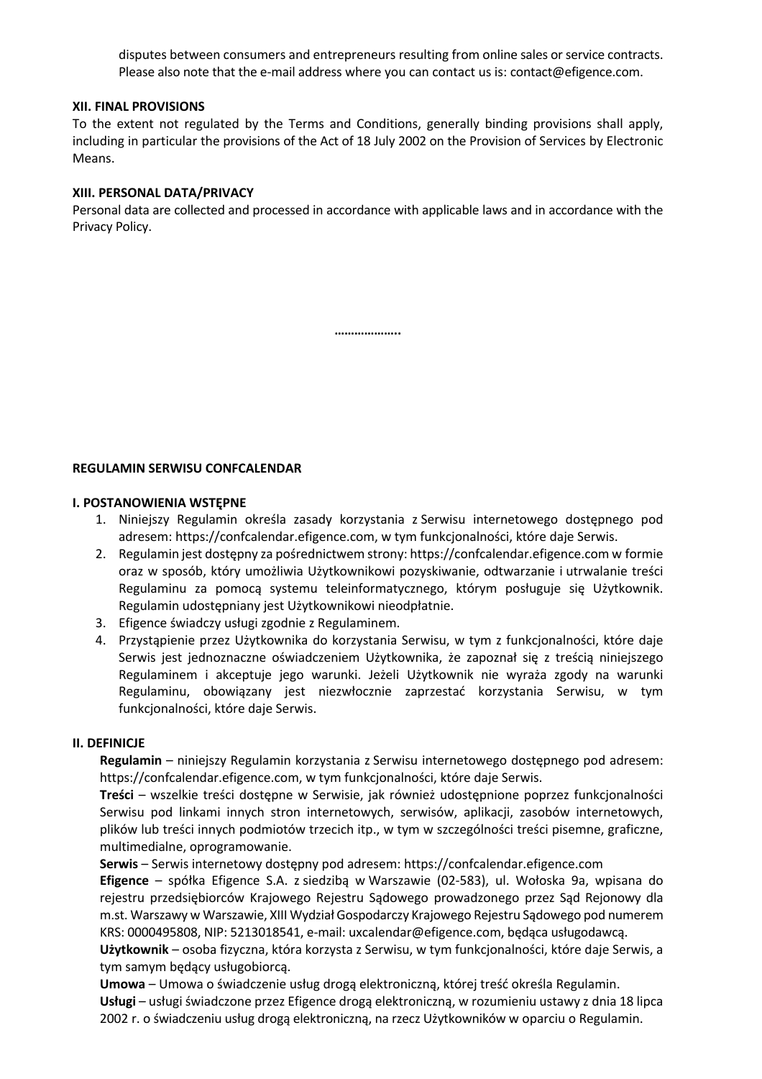disputes between consumers and entrepreneurs resulting from online sales or service contracts. Please also note that the e-mail address where you can contact us is: contact@efigence.com.

#### **XII. FINAL PROVISIONS**

To the extent not regulated by the Terms and Conditions, generally binding provisions shall apply, including in particular the provisions of the Act of 18 July 2002 on the Provision of Services by Electronic Means.

#### **XIII. PERSONAL DATA/PRIVACY**

Personal data are collected and processed in accordance with applicable laws and in accordance with the Privacy Policy.

**………………..**

### **REGULAMIN SERWISU CONFCALENDAR**

#### **I. POSTANOWIENIA WSTĘPNE**

- 1. Niniejszy Regulamin określa zasady korzystania z Serwisu internetowego dostępnego pod adresem: https://confcalendar.efigence.com, w tym funkcjonalności, które daje Serwis.
- 2. Regulamin jest dostępny za pośrednictwem strony: https://confcalendar.efigence.com w formie oraz w sposób, który umożliwia Użytkownikowi pozyskiwanie, odtwarzanie i utrwalanie treści Regulaminu za pomocą systemu teleinformatycznego, którym posługuje się Użytkownik. Regulamin udostępniany jest Użytkownikowi nieodpłatnie.
- 3. Efigence świadczy usługi zgodnie z Regulaminem.
- 4. Przystąpienie przez Użytkownika do korzystania Serwisu, w tym z funkcjonalności, które daje Serwis jest jednoznaczne oświadczeniem Użytkownika, że zapoznał się z treścią niniejszego Regulaminem i akceptuje jego warunki. Jeżeli Użytkownik nie wyraża zgody na warunki Regulaminu, obowiązany jest niezwłocznie zaprzestać korzystania Serwisu, w tym funkcjonalności, które daje Serwis.

### **II. DEFINICJE**

**Regulamin** – niniejszy Regulamin korzystania z Serwisu internetowego dostępnego pod adresem: https://confcalendar.efigence.com, w tym funkcjonalności, które daje Serwis.

**Treści** – wszelkie treści dostępne w Serwisie, jak również udostępnione poprzez funkcjonalności Serwisu pod linkami innych stron internetowych, serwisów, aplikacji, zasobów internetowych, plików lub treści innych podmiotów trzecich itp., w tym w szczególności treści pisemne, graficzne, multimedialne, oprogramowanie.

**Serwis** – Serwis internetowy dostępny pod adresem: https://confcalendar.efigence.com

**Efigence** – spółka Efigence S.A. z siedzibą w Warszawie (02-583), ul. Wołoska 9a, wpisana do rejestru przedsiębiorców Krajowego Rejestru Sądowego prowadzonego przez Sąd Rejonowy dla m.st. Warszawy w Warszawie, XIII Wydział Gospodarczy Krajowego Rejestru Sądowego pod numerem KRS: 0000495808, NIP: 5213018541, e-mail: uxcalendar@efigence.com, będąca usługodawcą.

**Użytkownik** – osoba fizyczna, która korzysta z Serwisu, w tym funkcjonalności, które daje Serwis, a tym samym będący usługobiorcą.

**Umowa** – Umowa o świadczenie usług drogą elektroniczną, której treść określa Regulamin. **Usługi** – usługi świadczone przez Efigence drogą elektroniczną, w rozumieniu ustawy z dnia 18 lipca 2002 r. o świadczeniu usług drogą elektroniczną, na rzecz Użytkowników w oparciu o Regulamin.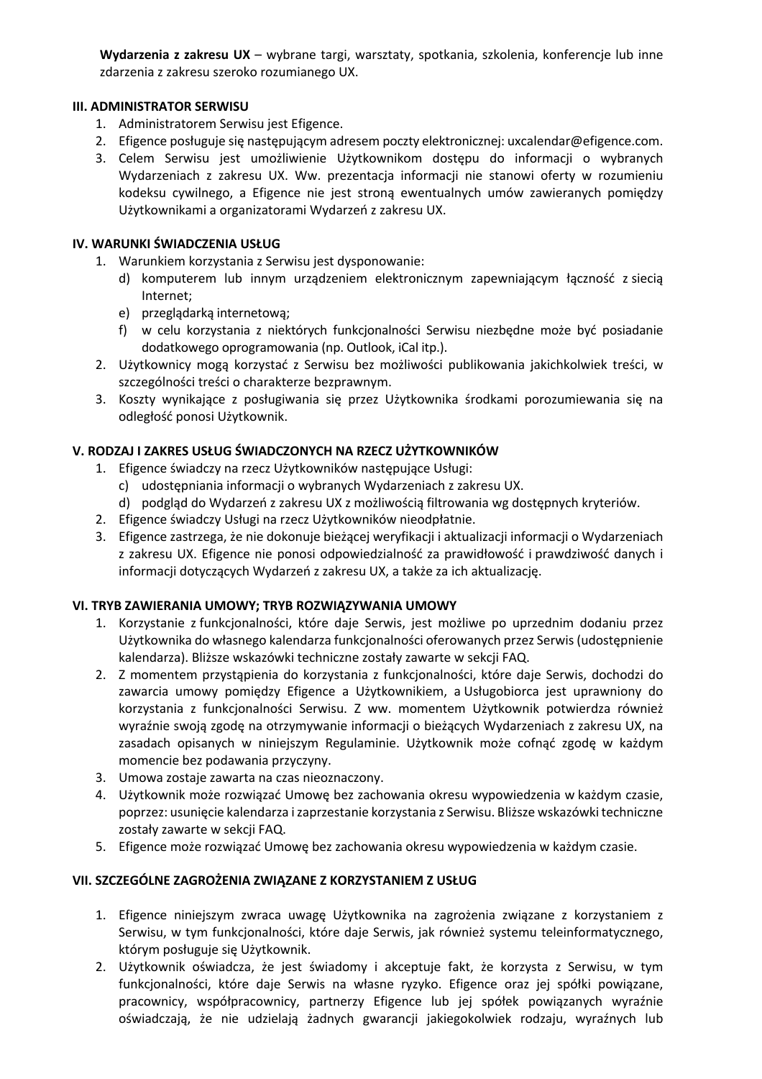**Wydarzenia z zakresu UX** – wybrane targi, warsztaty, spotkania, szkolenia, konferencje lub inne zdarzenia z zakresu szeroko rozumianego UX.

# **III. ADMINISTRATOR SERWISU**

- 1. Administratorem Serwisu jest Efigence.
- 2. Efigence posługuje się następującym adresem poczty elektronicznej: uxcalendar@efigence.com.
- 3. Celem Serwisu jest umożliwienie Użytkownikom dostępu do informacji o wybranych Wydarzeniach z zakresu UX. Ww. prezentacja informacji nie stanowi oferty w rozumieniu kodeksu cywilnego, a Efigence nie jest stroną ewentualnych umów zawieranych pomiędzy Użytkownikami a organizatorami Wydarzeń z zakresu UX.

## **IV. WARUNKI ŚWIADCZENIA USŁUG**

- 1. Warunkiem korzystania z Serwisu jest dysponowanie:
	- d) komputerem lub innym urządzeniem elektronicznym zapewniającym łączność z siecią Internet;
	- e) przeglądarką internetową;
	- f) w celu korzystania z niektórych funkcjonalności Serwisu niezbędne może być posiadanie dodatkowego oprogramowania (np. Outlook, iCal itp.).
- 2. Użytkownicy mogą korzystać z Serwisu bez możliwości publikowania jakichkolwiek treści, w szczególności treści o charakterze bezprawnym.
- 3. Koszty wynikające z posługiwania się przez Użytkownika środkami porozumiewania się na odległość ponosi Użytkownik.

## **V. RODZAJ I ZAKRES USŁUG ŚWIADCZONYCH NA RZECZ UŻYTKOWNIKÓW**

- 1. Efigence świadczy na rzecz Użytkowników następujące Usługi:
	- c) udostępniania informacji o wybranych Wydarzeniach z zakresu UX.
	- d) podgląd do Wydarzeń z zakresu UX z możliwością filtrowania wg dostępnych kryteriów.
- 2. Efigence świadczy Usługi na rzecz Użytkowników nieodpłatnie.
- 3. Efigence zastrzega, że nie dokonuje bieżącej weryfikacji i aktualizacji informacji o Wydarzeniach z zakresu UX. Efigence nie ponosi odpowiedzialność za prawidłowość i prawdziwość danych i informacji dotyczących Wydarzeń z zakresu UX, a także za ich aktualizację.

### **VI. TRYB ZAWIERANIA UMOWY; TRYB ROZWIĄZYWANIA UMOWY**

- 1. Korzystanie z funkcjonalności, które daje Serwis, jest możliwe po uprzednim dodaniu przez Użytkownika do własnego kalendarza funkcjonalności oferowanych przez Serwis(udostępnienie kalendarza). Bliższe wskazówki techniczne zostały zawarte w sekcji FAQ.
- 2. Z momentem przystąpienia do korzystania z funkcjonalności, które daje Serwis, dochodzi do zawarcia umowy pomiędzy Efigence a Użytkownikiem, a Usługobiorca jest uprawniony do korzystania z funkcjonalności Serwisu. Z ww. momentem Użytkownik potwierdza również wyraźnie swoją zgodę na otrzymywanie informacji o bieżących Wydarzeniach z zakresu UX, na zasadach opisanych w niniejszym Regulaminie. Użytkownik może cofnąć zgodę w każdym momencie bez podawania przyczyny.
- 3. Umowa zostaje zawarta na czas nieoznaczony.
- 4. Użytkownik może rozwiązać Umowę bez zachowania okresu wypowiedzenia w każdym czasie, poprzez: usunięcie kalendarza i zaprzestanie korzystania z Serwisu. Bliższe wskazówki techniczne zostały zawarte w sekcji FAQ.
- 5. Efigence może rozwiązać Umowę bez zachowania okresu wypowiedzenia w każdym czasie.

# **VII. SZCZEGÓLNE ZAGROŻENIA ZWIĄZANE Z KORZYSTANIEM Z USŁUG**

- 1. Efigence niniejszym zwraca uwagę Użytkownika na zagrożenia związane z korzystaniem z Serwisu, w tym funkcjonalności, które daje Serwis, jak również systemu teleinformatycznego, którym posługuje się Użytkownik.
- 2. Użytkownik oświadcza, że jest świadomy i akceptuje fakt, że korzysta z Serwisu, w tym funkcjonalności, które daje Serwis na własne ryzyko. Efigence oraz jej spółki powiązane, pracownicy, współpracownicy, partnerzy Efigence lub jej spółek powiązanych wyraźnie oświadczają, że nie udzielają żadnych gwarancji jakiegokolwiek rodzaju, wyraźnych lub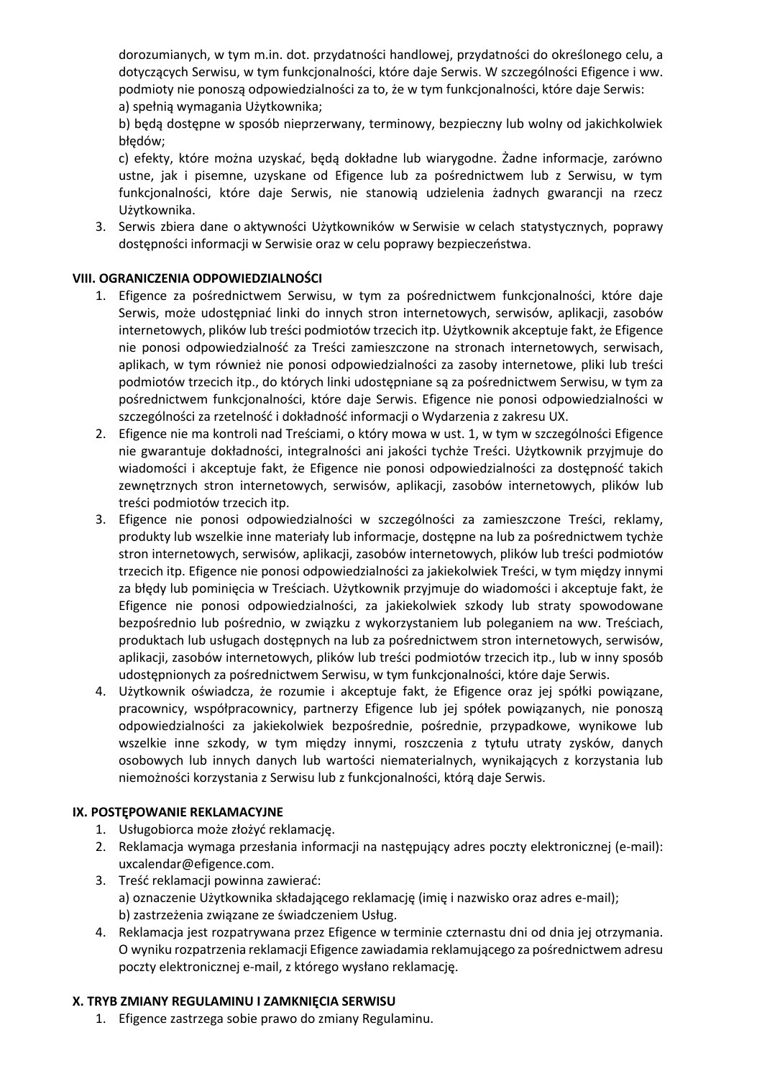dorozumianych, w tym m.in. dot. przydatności handlowej, przydatności do określonego celu, a dotyczących Serwisu, w tym funkcjonalności, które daje Serwis. W szczególności Efigence i ww. podmioty nie ponoszą odpowiedzialności za to, że w tym funkcjonalności, które daje Serwis: a) spełnią wymagania Użytkownika;

b) będą dostępne w sposób nieprzerwany, terminowy, bezpieczny lub wolny od jakichkolwiek błędów;

c) efekty, które można uzyskać, będą dokładne lub wiarygodne. Żadne informacje, zarówno ustne, jak i pisemne, uzyskane od Efigence lub za pośrednictwem lub z Serwisu, w tym funkcjonalności, które daje Serwis, nie stanowią udzielenia żadnych gwarancji na rzecz Użytkownika.

3. Serwis zbiera dane o aktywności Użytkowników w Serwisie w celach statystycznych, poprawy dostępności informacji w Serwisie oraz w celu poprawy bezpieczeństwa.

# **VIII. OGRANICZENIA ODPOWIEDZIALNOŚCI**

- 1. Efigence za pośrednictwem Serwisu, w tym za pośrednictwem funkcjonalności, które daje Serwis, może udostępniać linki do innych stron internetowych, serwisów, aplikacji, zasobów internetowych, plików lub treści podmiotów trzecich itp. Użytkownik akceptuje fakt, że Efigence nie ponosi odpowiedzialność za Treści zamieszczone na stronach internetowych, serwisach, aplikach, w tym również nie ponosi odpowiedzialności za zasoby internetowe, pliki lub treści podmiotów trzecich itp., do których linki udostępniane są za pośrednictwem Serwisu, w tym za pośrednictwem funkcjonalności, które daje Serwis. Efigence nie ponosi odpowiedzialności w szczególności za rzetelność i dokładność informacji o Wydarzenia z zakresu UX.
- 2. Efigence nie ma kontroli nad Treściami, o który mowa w ust. 1, w tym w szczególności Efigence nie gwarantuje dokładności, integralności ani jakości tychże Treści. Użytkownik przyjmuje do wiadomości i akceptuje fakt, że Efigence nie ponosi odpowiedzialności za dostępność takich zewnętrznych stron internetowych, serwisów, aplikacji, zasobów internetowych, plików lub treści podmiotów trzecich itp.
- 3. Efigence nie ponosi odpowiedzialności w szczególności za zamieszczone Treści, reklamy, produkty lub wszelkie inne materiały lub informacje, dostępne na lub za pośrednictwem tychże stron internetowych, serwisów, aplikacji, zasobów internetowych, plików lub treści podmiotów trzecich itp. Efigence nie ponosi odpowiedzialności za jakiekolwiek Treści, w tym między innymi za błędy lub pominięcia w Treściach. Użytkownik przyjmuje do wiadomości i akceptuje fakt, że Efigence nie ponosi odpowiedzialności, za jakiekolwiek szkody lub straty spowodowane bezpośrednio lub pośrednio, w związku z wykorzystaniem lub poleganiem na ww. Treściach, produktach lub usługach dostępnych na lub za pośrednictwem stron internetowych, serwisów, aplikacji, zasobów internetowych, plików lub treści podmiotów trzecich itp., lub w inny sposób udostępnionych za pośrednictwem Serwisu, w tym funkcjonalności, które daje Serwis.
- 4. Użytkownik oświadcza, że rozumie i akceptuje fakt, że Efigence oraz jej spółki powiązane, pracownicy, współpracownicy, partnerzy Efigence lub jej spółek powiązanych, nie ponoszą odpowiedzialności za jakiekolwiek bezpośrednie, pośrednie, przypadkowe, wynikowe lub wszelkie inne szkody, w tym między innymi, roszczenia z tytułu utraty zysków, danych osobowych lub innych danych lub wartości niematerialnych, wynikających z korzystania lub niemożności korzystania z Serwisu lub z funkcjonalności, którą daje Serwis.

### **IX. POSTĘPOWANIE REKLAMACYJNE**

- 1. Usługobiorca może złożyć reklamację.
- 2. Reklamacja wymaga przesłania informacji na następujący adres poczty elektronicznej (e-mail): uxcalendar@efigence.com.
- 3. Treść reklamacji powinna zawierać: a) oznaczenie Użytkownika składającego reklamację (imię i nazwisko oraz adres e-mail); b) zastrzeżenia związane ze świadczeniem Usług.
- 4. Reklamacja jest rozpatrywana przez Efigence w terminie czternastu dni od dnia jej otrzymania. O wyniku rozpatrzenia reklamacji Efigence zawiadamia reklamującego za pośrednictwem adresu poczty elektronicznej e-mail, z którego wysłano reklamację.

### **X. TRYB ZMIANY REGULAMINU I ZAMKNIĘCIA SERWISU**

1. Efigence zastrzega sobie prawo do zmiany Regulaminu.